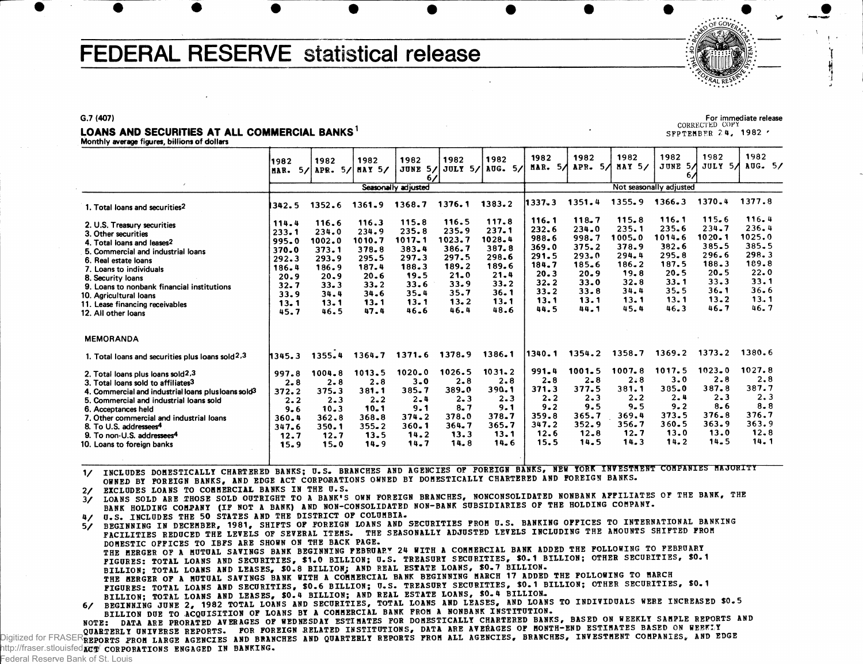# FEDERAL RESERVE statistical release



#### LOANS AND SECURITIES AT ALL COMMERCIAL BANKS<sup>1</sup>

Monthly average figures, billions of dollars

1982 MAR. 5/ APR. 5/ MAY 5/ JUNE 5/ 1982 1982 1982 1982<br>APR. 5/ MAY 5/ JUNE 5/ JULY 6 / **JULY 5/** Seasonally adjusted 1982 **AUG. 5/** 1982 MAR. 5/ APR. 5/ MAY 5/ | JUNE 5/ 1982 1982 1982 1982<br>APR. 5/ MAY 5/ JUNE 5/ JULY 6 / JULY 5/ AUG. 5/ Not seasonally adjusted 1982 1. Total loans and securities<sup>2</sup> 2. U.S. Treasury securities 3. Other securities 4. Total loans and leases<sup>2</sup> 5. Commercial and industrial loans 6. Real estate loans 7. Loans to individuals 8. Security loans 9. Loans to nonbank financial institutions 10. Agricultural loans 11. Lease financing receivables 12. All other loans MEMORANDA 1. Total loans and securities plus loans sold  $2.3\,$ 2. Total loans plus loans **sold<sup>2</sup> ,**3 3. Total loans sold to affiliates<sup>3</sup> 4. Commercial and industrial loans plusloans sold<sup>3</sup> 5. Commercial and industrial loans sold 6. Acceptances held 7. Other commercial and industrial loans 8. To U.S. addressees<sup>4</sup> 9. To non-U.S. addressees<sup>4</sup> 10. Loans to foreign banks I342. 5 1352. 6 1361. 9 1376. 1 1383. 2 114.4 116.6 116.3<br>233.1 234.0 234.9 233.1 234.0 234.9<br>995.0 1002.0 1010.7 995.0 1002.0 1010.7<br>370.0 373.1 378.8 370.0 373.1 378.8<br>292.3 293.9 295.5 292.3 293.9 295.5<br>186.4 186.9 187.4 186.4 186.9 187.4<br>20.9 20.9 20.6  $20.9$   $20.6$ <br> $33.3$   $33.2$  $32.7$   $33.3$   $33.2$ <br> $33.9$   $34.4$   $34.6$ 33.9 34.4 34.6<br>13.1 13.1 13.1 13.1 13.1 13.1<br>45.7 46.5 47.4 46.5 115. 8 235. 8 1017. 1 383. 4 297. 3 188. 3 19. 5 33. 6 35. 4 13. 1 46. 6 116. 5 235. 9 1023. 7 386. 7 297. 5 189. 2  $21 - 0$ 33. 9 35. 7 13. 2 46. 4 117. 8 237. 1 1028. 4 387. 8 298. 6 189. 6 21. 4 33. 2 36. 1 13. 1 48. 6 1345. 3 1355^ 4 1364. 7 1371. 6 1378. 9 1386. 1 997. 8 **2.8**  372. 2 **2.2**   $9 - 6$ 360. 4 347. 6 12. 7 15. 9 1004. 8 **2.8**  375. 3  $2 - 3$ 10. 3 362. 8 350. 1 12. 7 15. 0 1013. 5 **2.8**  381. 1 **2.2 10.1**  368. 8 355. 2 13. 5 14. 9 **1020.0**   $3 - 0$ 385. 7  $2 - 4$ 9 . 1 374. 2 360. 1 14. 2 14. 7 1026. 5 **2.8**  389. 0  $2 - 3$  $8.7$ 378. 0 364. 7 13. 3 14. 8 1031. 2 **2.8**  390. 1  $2 - 3$ 9 . 1 378. 7 365. 7 13. 1 14. 6 1337. 3 1351. 4 1355. 9 1366. 3 1370. 4 1377. 8 116.1 118.7 115.8 116.1 115.6 116.4<br>232.6 234.0 235.1 235.6 234.7 236.4  $232.6$   $234.0$   $235.1$   $235.6$   $234.7$   $236.4$ <br>988.6 998.7 1005.0 1014.6 1020.1 1025.0 998. 7 1005. 0 1014. 6 1020. 1 1025. 0<br>375. 2 378. 9 382. 6 385. 5 385. 5 369.0 375.2 378.9 382.6 385.5 385.5<br>291.5 293.0 294.4 295.8 296.6 298.3 291.5 293.0 294.4 295.8 296.6 298.3<br>184.7 185.6 186.2 187.5 188.3 189.8 184.7 185.6 186.2 187.5 188.3 189.8<br>20.3 20.9 19.8 20.5 20.5 22.0 20. 3 20. 9 19. 8 20. 5 20. 5 22. 0 32. 2 33. 0 32. 8 33. 1 33. 3 33. 1 33. 2 33. 8 34. 4 35. 5 36. 1 36. 6 13.1 13.1 13.1 13.1 13.2 13.1 44.5 44.1 45.4 46.3 46.7 46.7 1340. 1 1354. 2 1358. 7 1369. 2 1373. 2 1380. 6 991. 4 1001. 5 1007. 8 1017. 5 1023. 0 1027. 8  $2.8$   $2.8$   $2.8$   $3.0$   $2.8$   $2.8$ 371.3 377.5 381.1 385.0 387.8 387.7<br>2.2 2.3 2.2 2.4 2.3 2.3  $2.2$   $2.3$   $2.2$   $2.4$   $2.3$   $2.3$ 9.2 9.5 9.5 9.2 8.6 8.8  $359.8$   $365.7$   $369.4$   $373.5$   $376.8$   $376.7$ <br> $347.2$   $352.9$   $356.7$   $360.5$   $363.9$   $363.9$ 347. 2 352. 9 356. 7 360. 5 363. 9 363 . 9 12. 6 12. 8 12. 7 13. 0 13. 0 12. 8 15. 5 14. 5 14. 3 14. 2 14. 5 1 4 . 1

1/ INCLUDES DOMESTICALLY CHARTERED BANKS; U.S. BRANCHES AND AGENCIES OF FOREIGN BANKS, NEW YORK INVESTMENT COMPANIES MAJORITY OWNED BY FOREIGN BANKS, AND EDGE ACT CORPORATIONS OWNED BY DOMESTICALLY CHARTERED AND FOREIGN BANKS.

2/ EXCLUDES LOANS TO COMMERCIAL BANKS IN THE U.S.<br>3/ LOANS SOLD ARE THOSE SOLD OUTRIGHT TO A BANK'S OWN FOREIGN BRANCHES, NONCONSOLIDATED NONBANK AFFILIATES OF THE BANK, THE BANK HOLDING COMPANY (IF NOT A BANK) AND NON-CONSOLIDATED NON-BANK SUBSIDIARIES OF THE HOLDING COMPANY.

4/ U.S. INCLUDES THE 50 STATES AND THE DISTRICT OF COLUMBIA. 5/ BEGINNING IN DECEMBER, 1981, SHIFTS OF FOREIGN LOANS AND SECURITIES FROM U.S. BANKING OFFICES TO INTERNATIONAL BANKING

FACILITIES REDUCED THE LEVELS OF SEVERAL ITEMS. THE SEASONALLY ADJUSTED LEVELS INCLUDING THE AMOUNTS SHIFTED FROM DOMESTIC OFFICES TO IBFS ARE SHOWN ON THE BACK PAGE. THE MERGER OF A MUTUAL SAVINGS BANK BEGINNING FEBRUARY 24 WITH A COMMERCIAL BANK ADDED THE FOLLOWING TO FEBRUARY FIGURES: TOTAL LOANS AND SECURITIES, \$1.0 BILLION; U.S. TREASURY SECURITIES, \$0.1 BILLION; OTHER SECURITIES, \$0.1 BILLION; TOTAL LOANS AND LEASES, \$0.8 BILLION; AND REAL ESTATE LOANS, \$0.7 BILLION. THE MERGER OF A MUTUAL SAVINGS BANK WITH A COMMERCIAL BANK BEGINNING MARCH 17 ADDED THE FOLLOWING TO MARCH FIGURES: TOTAL LOANS AND SECURITIES, \$0.6 BILLION; U.S. TREASURY SECURITIES, \$0.1 BILLION; OTHER SECURITIES, \$0.1 BILLION; TOTAL LOANS AND LEASES, \$0.4 BILLION; AND REAL ESTATE LOANS, \$0.4 BILLION.<br>6/ BEGINNING JUNE 2, 1982 TOTAL LOANS AND SECURITIES, TOTAL LOANS AND LEASES, AND LOANS TO INDIVIDUALS WERE INCREASED \$0.5 BILLION DUE TO ACQUISITION OF LOANS BY A COMMERCIAL BANK FROM A NONBANK INSTITUTION.

NOTE: DATA ARE PRORATED AVERAGES OF WEDNESDAY ESTIMATES FOR DOMESTICALLY CHARTERED BANKS, BASED ON WEEKLY SAMPLE REPORTS AND QUARTERLY UNIVERSE REPORTS. FOR FOREIGN RELATED INSTITUTIONS, DATA ARE AVERAGES OF MONTH-END ESTIMATES BASED ON WEEKLY Digitized for FRASERREPORTS FROM LARGE AGENCIES AND BRANCHES AND QUARTERLY REPORTS FROM ALL AGENCIES, BRANCHES, INVESTMENT COMPANIES, AND EDGE ACT CORPORATIONS ENGAGED IN BANKING. http://fraser.stlouisfed.org/

For immediate release **CORRECTED COPY** SEPTEMBER 24, 1982 '

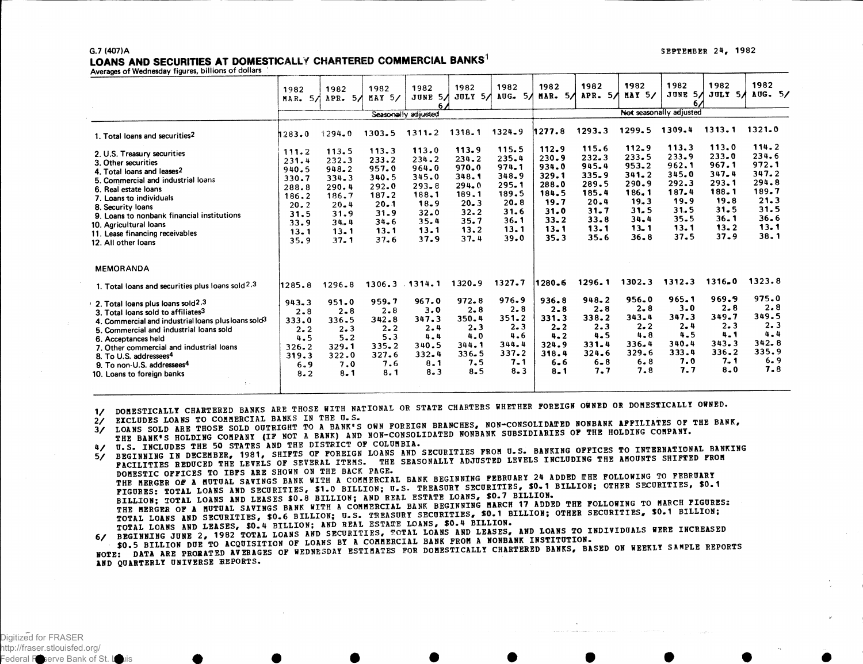#### G.7 (407)A LOANS AND SECURITIES AT DOMESTICALLY CHARTERED COMMERCIAL BANKS<sup>1</sup>

Averages of Wednesday figures, billions of dollars

|                                                                                                                                                                                                                                                                                                                                                                                                                         | 1982<br>5/<br>MAR.                                                                         | 1982<br>APR.<br>5/                                                                                         | 1982<br>MAY 5/                                                                                 | 1982<br>5/<br>JUNE<br>6.<br>Seasonally adjusted                                                    | 1982<br>5/<br>JULY                                                                                 | 1982<br>5/<br>AUG.                                                                             | 1982<br>5/<br>MAR.                                                                                 | 1982<br>5/<br>APR.                                                                         | 1982<br><b>MAY 5/</b>                                                                                  | 1982<br>JUNE<br>-5 A<br>Not seasonally adjusted                                            | 1982<br>JULY 5A                                                                                        | 1982<br>AUG. 5/                                                                            |
|-------------------------------------------------------------------------------------------------------------------------------------------------------------------------------------------------------------------------------------------------------------------------------------------------------------------------------------------------------------------------------------------------------------------------|--------------------------------------------------------------------------------------------|------------------------------------------------------------------------------------------------------------|------------------------------------------------------------------------------------------------|----------------------------------------------------------------------------------------------------|----------------------------------------------------------------------------------------------------|------------------------------------------------------------------------------------------------|----------------------------------------------------------------------------------------------------|--------------------------------------------------------------------------------------------|--------------------------------------------------------------------------------------------------------|--------------------------------------------------------------------------------------------|--------------------------------------------------------------------------------------------------------|--------------------------------------------------------------------------------------------|
| 1. Total loans and securities <sup>2</sup>                                                                                                                                                                                                                                                                                                                                                                              | 1283.0                                                                                     | 1294.0                                                                                                     | 1309.4<br>1313.1<br>1299.5<br>1293.3<br>1277.8<br>1324.9<br>1318.1<br>$1311 - 2$<br>1303.5     |                                                                                                    |                                                                                                    |                                                                                                |                                                                                                    |                                                                                            | 1321.0                                                                                                 |                                                                                            |                                                                                                        |                                                                                            |
| 2. U.S. Treasury securities<br>3. Other securities<br>4. Total loans and leases2<br>5. Commercial and industrial loans<br>6. Real estate loans<br>7. Loans to individuals<br>8. Security loans<br>9. Loans to nonbank financial institutions<br>10. Agricultural loans<br>11. Lease financing receivables<br>12. All other loans                                                                                        | 111.2<br>231.4<br>940.5<br>330.7<br>288.8<br>186.2<br>20.2<br>31.5<br>33.9<br>13.1<br>35.9 | 113.5<br>232.3<br>948.2<br>334.3<br>290.4<br>186.7<br>$20 - 4$<br>31.9<br>$34 - 4$<br>$13 - 1$<br>$37 - 1$ | 113.3<br>233.2<br>957.0<br>340.5<br>292.0<br>187.2<br>20.1<br>31.9<br>$34 - 6$<br>13.1<br>37.6 | 113.0<br>234.2<br>964.0<br>345.0<br>$293 - 8$<br>188.1<br>18.9<br>$32 - 0$<br>35.4<br>13.1<br>37.9 | 113.9<br>234.2<br>970.0<br>348.1<br>$294 - 0$<br>189.1<br>$20 - 3$<br>32.2<br>35.7<br>13.2<br>37.4 | 115.5<br>$235 - 4$<br>974.1<br>348.9<br>295.1<br>189.5<br>20.8<br>31.6<br>36.1<br>13.1<br>39.0 | 112.9<br>230.9<br>934.0<br>329.1<br>288.0<br>184.5<br>19.7<br>31.0<br>$33 - 2$<br>$13 - 1$<br>35.3 | 115.6<br>232.3<br>945.4<br>335.9<br>289.5<br>185.4<br>20.4<br>31.7<br>33.8<br>13.1<br>35.6 | 112.9<br>233.5<br>953.2<br>$341 - 2$<br>290.9<br>186.1<br>19.3<br>31.5<br>34.4<br>$13 - 1$<br>$36 - 8$ | 113.3<br>233.9<br>962.1<br>345.0<br>292.3<br>187.4<br>19.9<br>31.5<br>35.5<br>13.1<br>37.5 | 113.0<br>233.0<br>967.1<br>347.4<br>293.1<br>188.1<br>19.8<br>$31 - 5$<br>36.1<br>$13 - 2$<br>$37 - 9$ | 114.2<br>234.6<br>972.1<br>347.2<br>294.8<br>189.7<br>21.3<br>31.5<br>36.6<br>13.1<br>38.1 |
| <b>MEMORANDA</b>                                                                                                                                                                                                                                                                                                                                                                                                        |                                                                                            |                                                                                                            |                                                                                                |                                                                                                    |                                                                                                    |                                                                                                |                                                                                                    |                                                                                            |                                                                                                        |                                                                                            |                                                                                                        |                                                                                            |
| 1. Total loans and securities plus loans sold 2,3                                                                                                                                                                                                                                                                                                                                                                       | 1285.8                                                                                     | 1296.8                                                                                                     |                                                                                                | $1306.3$ $.1314.1$                                                                                 | 1320.9                                                                                             | 1327.7                                                                                         | 1280.6                                                                                             | 1296.1                                                                                     | 1302.3                                                                                                 | 1312.3                                                                                     | 1316.0                                                                                                 | 1323.8                                                                                     |
| 2. Total loans plus loans sold <sup>2</sup> ,3<br>3. Total loans sold to affiliates <sup>3</sup><br>4. Commercial and industrial loans plus loans sold <sup>3</sup><br>5. Commercial and industrial loans sold<br>6. Acceptances held<br>7. Other commercial and industrial loans<br>8. To U.S. addressees <sup>4</sup><br>9. To non-U.S. addressees <sup>4</sup><br>10. Loans to foreign banks<br>$\gamma \rightarrow$ | $943 - 3$<br>$2 - 8$<br>333.0<br>$2 - 2$<br>4.5<br>326.2<br>319.3<br>6.9<br>$8 - 2$        | 951.0<br>$2 - 8$<br>336.5<br>$2 - 3$<br>$5 - 2$<br>329.1<br>322.0<br>7.0<br>$8 - 1$                        | 959.7<br>$2 - 8$<br>342.8<br>$2 - 2$<br>5.3<br>335.2<br>327.6<br>7.6<br>$8 - 1$                | 967.0<br>3.0<br>347.3<br>2.4<br>$4 - 4$<br>340.5<br>332.4<br>8.1<br>8.3                            | $972 - 8$<br>$2 - 8$<br>350.4<br>2.3<br>4.0<br>344.1<br>$336 - 5$<br>7.5<br>8.5                    | 976.9<br>2.8<br>351.2<br>2.3<br>4.6<br>344.4<br>337.2<br>$7 - 1$<br>$8 - 3$                    | $936 - 8$<br>$2 - 8$<br>331.3<br>$2 - 2$<br>$4 - 2$<br>324.9<br>318.4<br>$6 - 6$<br>$8 - 1$        | 948.2<br>$2 - 8$<br>338.2<br>2.3<br>$4 - 5$<br>$331 - 4$<br>$324 - 6$<br>$6 - 8$<br>7.7    | $956 - 0$<br>$2 - 8$<br>343.4<br>$2 - 2$<br>$4 - 8$<br>336.4<br>329.6<br>6.8<br>7.8                    | 965.1<br>$3 - 0$<br>347.3<br>$2 - 4$<br>4.5<br>340.4<br>333.4<br>7.0<br>7.7                | 969.9<br>$2 - 8$<br>349.7<br>2.3<br>4.1<br>343.3<br>$336 - 2$<br>7.1<br>$8 - 0$                        | 975.0<br>2.8<br>349.5<br>2.3<br>$4 - 4$<br>342.8<br>335.9<br>6.9<br>$7 - 8$                |

1/ DOMESTICALLY CHARTERED BANKS ARE THOSE WITH NATIONAL OR STATE CHARTERS WHETHER FOREIGN OWNED OR DOMESTICALLY OWNED.

2/ EXCLUDES LOANS TO COMMERCIAL BANKS IN THE U.S.

2/ EXCLUDES LOANS TO COMMERCIAL BANKS IN THE U.S.<br>3/ LOANS SOLD ARE THOSE SOLD OUTRIGHT TO A BANK'S OWN POREIGN BRANCHES, NON-CONSOLIDATED NONBANK AFFILIATES OF THE BANK, LOANS SOLD ARE THOSE SOLD OUTRIGHT TO A BANK'S OWN POREIGN BRANCHES, NON-CONSOLLIDATED NONDANN AFFILIATED OF

U.S. INCLUDES THE 50 STATES AND THE DISTRICT OF COLUMBIA.  $4/$ 

U.S. INCLUDES THE 50 STATES AND THE DISTRICT OF COLUMBIA.<br>BEGINNING IN DECEMBER, 1981, SHIFTS OF FOREIGN LOANS AND SECURITIES FROM U.S. BANKING OFFICES TO INTERNATIONAL BANKING BEGINNING IN DECEMBER, 1981, SHIFTS OF FOREIGN LOANS AND SECURITIES FROM U.S. BANKING OFFICES TO INTERNATIONAL<br>FACILITIES REDUCED THE LEVELS OF SEVERAL ITEMS. THE SEASONALLY ADJUSTED LEVELS INCLUDING THE AMOUNTS SHIFTED FR  $5/$ DOMESTIC OFFICES TO IBPS ARE SHOWN ON THE BACK PAGE.<br>THE MERGER OF A MUTUAL SAVINGS BANK WITH A COMMERCIAL BANK BEGINNING PEBRUARY 24 ADDED THE FOLLOWING TO PEBRUARY<br>FIGURES: TOTAL LOANS AND SECURITIES, \$1.0 BILLION; U.S. THE MERGER OF A MUTUAL SAVINGS BANK WITH A COMMERCIAL BANK BEGINNING MARCH IT ADDED THE FOLLOWING TO HARCH TISSAER<br>TOTAL LOANS AND SECURITIES, \$0.6 BILLION: U.S. TREASURITIES, SO.1 BILLION; OTHER SECURITIES, \$0.1 BILLION; TOTAL LOANS AND SECURITIES, SOLO BILLION, G.S. IRERNAT MOCORTILES, SOLO BILLION.<br>TOTAL LOANS AND LEASES, \$0.4 BILLION: AND REAL ESTATE LOANS, \$0.4 BILLION. TOTAL LOANS AND LEASES, \$0.4 BILLION; AND REAL ESTATE LOANS, \$0.4 BILLION.<br>6/ BEGINNING JUNE 2, 1982 TOTAL LOANS AND SECURITIES, TOTAL LOANS AND LOANS TO INDIVIDUALS WERE INCREASED

BEGINNING JUNE 2, 1982 TOTAL LOANS AND SECURITIES, TOTAL HOMES AND ELECTRIC MONDANT INSTITUTION.<br>\$0.5 BILLION DUE TO ACQUISITION OF LOANS BY A COMMERCIAL BANK FROM A MONDANT DARLY BALLY OF

\$0.5 BILLION DUE TO ACQUISITION OF LOANS BY A COMMERCIAL BANK FROM A NONBANK INSTITUTION.<br>NOTE: DATA ARE PRORATED AVERAGES OF WEDNESDAY ESTIMATES FOR DOMESTICALLY CHARTERED BANKS, BASED ON WEEKLY SAMPLE REPORTS AND QUARTERLY UNIVERSE REPORTS.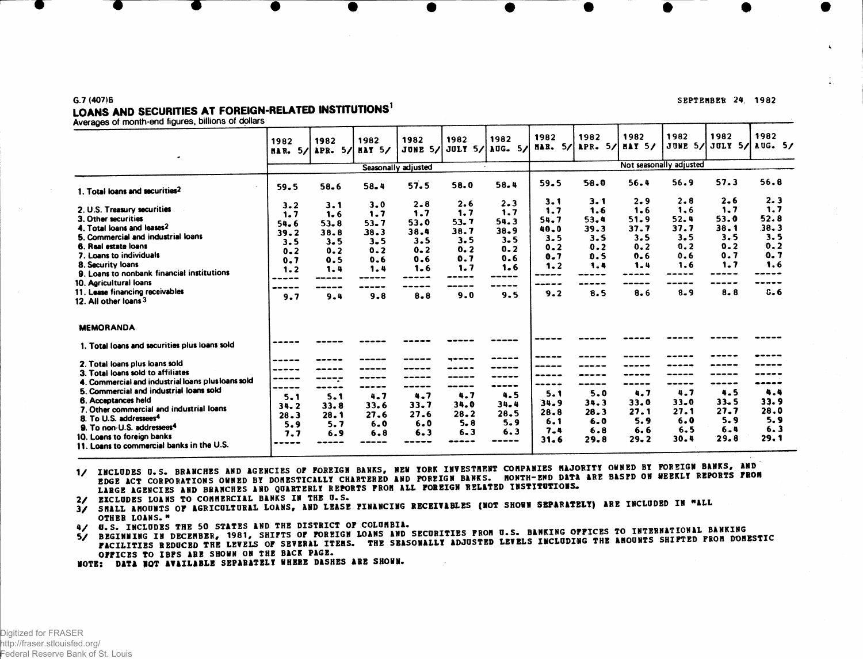### G.7 (407)6 LOANS AND SECURITIES AT FOREIGN-RELATED INSTITUTIONS<sup>1</sup>

Averages of month-end figures, billions of dollars

| $\bullet$                                                                                                                                                                                                                                      | 1982<br>5/<br>HAR.                 | 1982<br>5/<br>APR.             | 1982<br><b>HAY 5/</b>          | 1982<br><b>JUNE 5/</b>         | 1982                       | 1982<br><b>JULY 5/ AUG. 5/</b>     | 1982<br>5/<br>HAR.                   | 1982<br>5/<br>APR.         | 1982<br><b>HAY 5/</b>          | 1982<br>Not seasonally adjusted | 1982                               | 1982<br>JUNE 5/ JULY 5/ AUG. 5/   |
|------------------------------------------------------------------------------------------------------------------------------------------------------------------------------------------------------------------------------------------------|------------------------------------|--------------------------------|--------------------------------|--------------------------------|----------------------------|------------------------------------|--------------------------------------|----------------------------|--------------------------------|---------------------------------|------------------------------------|-----------------------------------|
|                                                                                                                                                                                                                                                |                                    | Seasonally adjusted            |                                |                                |                            |                                    |                                      |                            |                                |                                 |                                    |                                   |
| 1. Total loans and securities <sup>2</sup>                                                                                                                                                                                                     | 59.5                               | 58.6                           | $58 - 4$                       | 57.5                           | 58.0                       | 58.4                               | 59.5                                 | 58.0                       | 56.4                           | 56.9                            | 57.3                               | 56.8                              |
| 2. U.S. Treasury securities<br>3. Other securities<br>4. Total loans and leases2                                                                                                                                                               | 3.2<br>1.7<br>54.6<br>39.2         | 3.1<br>1.6<br>$53 - 8$<br>38.8 | 3.0<br>1.7<br>$53 - 7$<br>38.3 | $2 - 8$<br>1.7<br>53.0<br>38.4 | 2.6<br>1.7<br>53.7<br>38.7 | $2 - 3$<br>1.7<br>54.3<br>$38 - 9$ | $3 - 1$<br>1.7<br>54.7<br>40.0       | 3.1<br>1.6<br>53.4<br>39.3 | 2.9<br>$1 - 6$<br>51.9<br>37.7 | 2.8<br>1.6<br>52.4<br>37.7      | $2 - 6$<br>1.7<br>53.0<br>$38 - 1$ | 2.3<br>1.7<br>52.8<br>38.3        |
| 5. Commercial and industrial loans<br>6. Real estate loans<br>7. Loans to individuals<br>8. Security loans<br>9. Loans to nonbank financial institutions<br>10. Agricultural loans<br>11. Lease financing receivables<br>12. All other loans 3 | 3.5<br>$0 - 2$<br>0.7              | $3 - 5$<br>0.2<br>0.5          | $3 - 5$<br>0.2<br>0.6<br>1.4   | 3.5<br>$0 - 2$<br>0.6<br>1.6   | 3.5<br>0.2<br>0.7<br>1.7   | $3 - 5$<br>0.2<br>0.6<br>1.6       | $3 - 5$<br>$0 - 2$<br>0.7<br>$1 - 2$ | 3.5<br>0.2<br>0.5<br>1.4   | 3.5<br>0.2<br>0.6<br>1.4       | $3 - 5$<br>0.2<br>0.6<br>1.6    | 3.5<br>$0 - 2$<br>0.7<br>1.7       | 3.5<br>0.2<br>0.7<br>1.6          |
|                                                                                                                                                                                                                                                | 1.2<br>9.7                         | 1.4<br>9.4                     | 9.8                            | $8 - 8$                        | 9.0                        | ---<br>9.5                         | -----<br>-----<br>9.2                | -----<br>8.5               | 8.6                            | $8 - 9$                         | $\frac{1}{2}$<br>8.8               | 0.6                               |
| <b>MEMORANDA</b>                                                                                                                                                                                                                               |                                    |                                |                                |                                |                            |                                    |                                      |                            |                                |                                 |                                    |                                   |
| 1. Total loans and securities plus loans sold                                                                                                                                                                                                  |                                    |                                |                                |                                |                            |                                    |                                      |                            |                                |                                 |                                    |                                   |
| 2. Total loans plus loans sold<br>3. Total loans sold to affiliates<br>4. Commercial and industrial loans plus loans sold<br>5. Commercial and industrial loans sold                                                                           | -----<br>-----                     | -----                          |                                | -----                          |                            |                                    |                                      |                            |                                |                                 | -----                              |                                   |
| 6. Acceptances held<br>7. Other commercial and industrial loans<br>8. To U.S. addressees <sup>4</sup><br>9. To non-U.S. addressees <sup>4</sup>                                                                                                | $5 - 1$<br>34.2<br>$28 - 3$<br>5.9 | 5.1<br>33.8<br>28.1<br>5.7     | 4.7<br>33.6<br>27.6<br>6.0     | 4.7<br>33.7<br>27.6<br>6.0     | 4.7<br>34.0<br>28.2<br>5.8 | 4.5<br>34.4<br>28.5<br>5.9         | 5.1<br>34.9<br>28.8<br>6.1           | 5.0<br>34.3<br>28.3<br>6.0 | 4.7<br>33.0<br>27.1<br>5.9     | 4.7<br>$33 - 0$<br>27.1<br>6.0  | 4.5<br>$33 - 5$<br>27.7<br>5.9     | 4.4<br>33.9<br>28.0<br>5.9<br>6.3 |
| 10. Loans to foreign banks<br>11. Loans to commercial banks in the U.S.                                                                                                                                                                        | 7.7                                | 6.9                            | 6.8                            | $6 - 3$                        | $6 - 3$                    | 6.3                                | 7.4<br>31.6                          | 6.8<br>29.8                | 6.6<br>29.2                    | 6.5<br>30.4                     | 6.4<br>29.8                        | 29.1                              |

EDGE ACT CORPORATIONS OWNED BY DONESTICALLY CHARTERED AND POREIGN BANKS. MONTH-END DATA ARE BASPD ON WEEKLY REPORTS FROM<br>LARGE AGENCIES AND BRANCHES AND QUARTERLY REPORTS FROM ALL FOREIGN RELATED INSTITUTIONS. **1/ INCLUDES U.S. BRANCHES AND AGENCIES OF FOREIGN BANKS, NEW YORK INVESTHENT COMPANIES MAJORITY OWNED BY POREIGN BANKS, AND** 

2/ EXCLUDES LOANS TO COMMERCIAL BANKS IN THE U.S.

3/ SHALL AMOUNTS OF AGRICULTURAL LOANS, AND LEASE FINANCING RECEIVABLES (NOT SHOWN SEPARATELY) ARE INCLUDED IN "ALL OTHER LOANS."

4/ U.S. INCLUDES THE 50 STATES AND THE DISTRICT OF COLUMBIA.

FACILITIES REDUCED THE LEVELS OF SEVERAL ITEMS. THE SEASONALLY ADJUSTED LEVELS INCLUDING THE AMOUNTS SHIFTED FROM DOMESTIC<br>OFFICES TO IBPS ARE SHOWN ON THE BACK PAGE. 5/ BEGINNING IN DECEMBER, 1981, SHIFTS OF FOREIGN LOANS AND SECURITIES FROM U.S. BANKING OFFICES TO INTERNATIONAL BANKING

•OTB: DATA HOT AVAILABLE SBPARATBL1 WHERE DASHES ABB SHOWN.

#### SEPTEMBER 24. 1982